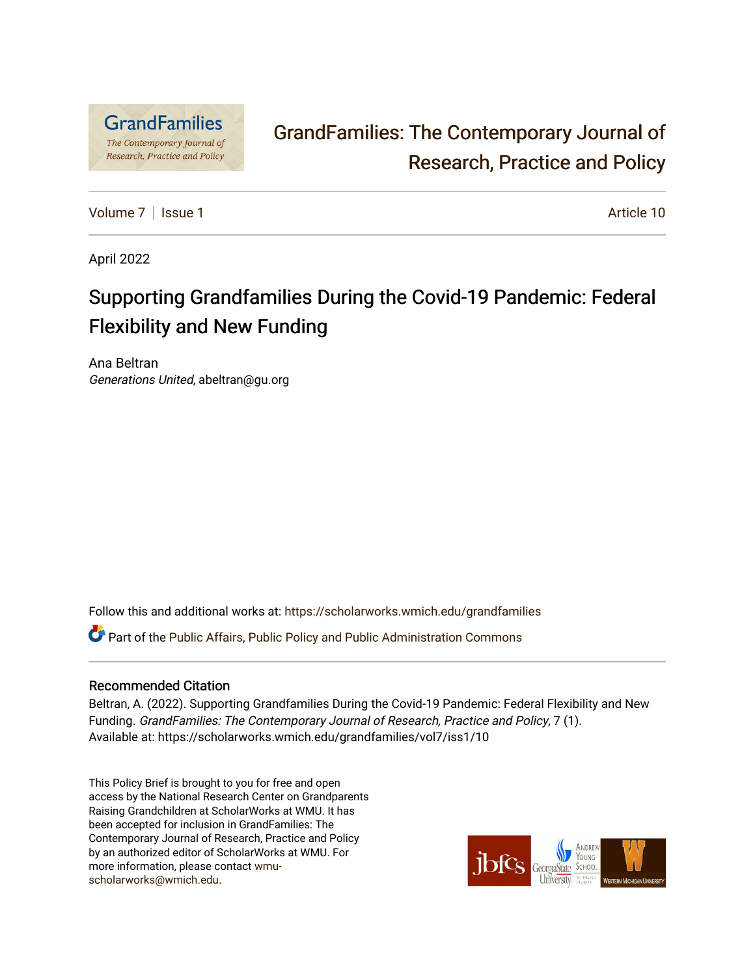

# [GrandFamilies: The Contemporary Journal of](https://scholarworks.wmich.edu/grandfamilies)  [Research, Practice and Policy](https://scholarworks.wmich.edu/grandfamilies)

[Volume 7](https://scholarworks.wmich.edu/grandfamilies/vol7) | [Issue 1](https://scholarworks.wmich.edu/grandfamilies/vol7/iss1) Article 10

April 2022

# Supporting Grandfamilies During the Covid-19 Pandemic: Federal Flexibility and New Funding

Ana Beltran Generations United, abeltran@gu.org

Follow this and additional works at: [https://scholarworks.wmich.edu/grandfamilies](https://scholarworks.wmich.edu/grandfamilies?utm_source=scholarworks.wmich.edu%2Fgrandfamilies%2Fvol7%2Fiss1%2F10&utm_medium=PDF&utm_campaign=PDFCoverPages)

Part of the [Public Affairs, Public Policy and Public Administration Commons](http://network.bepress.com/hgg/discipline/393?utm_source=scholarworks.wmich.edu%2Fgrandfamilies%2Fvol7%2Fiss1%2F10&utm_medium=PDF&utm_campaign=PDFCoverPages) 

# Recommended Citation

Beltran, A. (2022). Supporting Grandfamilies During the Covid-19 Pandemic: Federal Flexibility and New Funding. GrandFamilies: The Contemporary Journal of Research, Practice and Policy, 7 (1). Available at: https://scholarworks.wmich.edu/grandfamilies/vol7/iss1/10

This Policy Brief is brought to you for free and open access by the National Research Center on Grandparents Raising Grandchildren at ScholarWorks at WMU. It has been accepted for inclusion in GrandFamilies: The Contemporary Journal of Research, Practice and Policy by an authorized editor of ScholarWorks at WMU. For more information, please contact [wmu](mailto:wmu-scholarworks@wmich.edu)[scholarworks@wmich.edu.](mailto:wmu-scholarworks@wmich.edu)

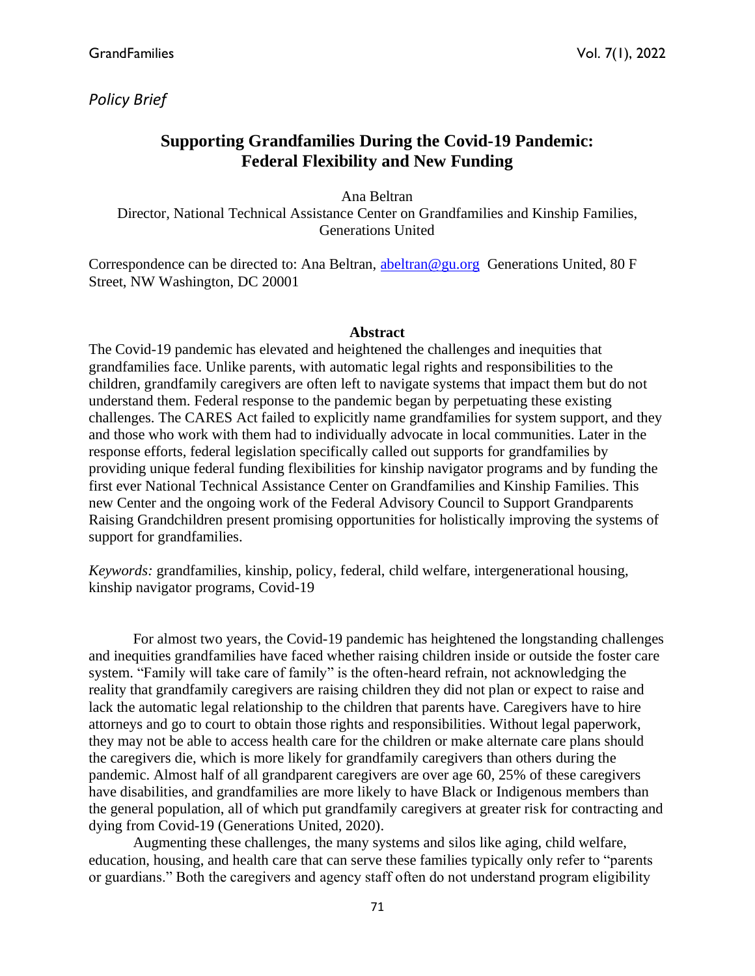*Policy Brief*

# **Supporting Grandfamilies During the Covid-19 Pandemic: Federal Flexibility and New Funding**

Ana Beltran Director, National Technical Assistance Center on Grandfamilies and Kinship Families, Generations United

Correspondence can be directed to: Ana Beltran, [abeltran@gu.org](mailto:abeltran@gu.org) Generations United, 80 F Street, NW Washington, DC 20001

# **Abstract**

The Covid-19 pandemic has elevated and heightened the challenges and inequities that grandfamilies face. Unlike parents, with automatic legal rights and responsibilities to the children, grandfamily caregivers are often left to navigate systems that impact them but do not understand them. Federal response to the pandemic began by perpetuating these existing challenges. The CARES Act failed to explicitly name grandfamilies for system support, and they and those who work with them had to individually advocate in local communities. Later in the response efforts, federal legislation specifically called out supports for grandfamilies by providing unique federal funding flexibilities for kinship navigator programs and by funding the first ever National Technical Assistance Center on Grandfamilies and Kinship Families. This new Center and the ongoing work of the Federal Advisory Council to Support Grandparents Raising Grandchildren present promising opportunities for holistically improving the systems of support for grandfamilies.

*Keywords:* grandfamilies, kinship, policy, federal, child welfare, intergenerational housing, kinship navigator programs, Covid-19

For almost two years, the Covid-19 pandemic has heightened the longstanding challenges and inequities grandfamilies have faced whether raising children inside or outside the foster care system. "Family will take care of family" is the often-heard refrain, not acknowledging the reality that grandfamily caregivers are raising children they did not plan or expect to raise and lack the automatic legal relationship to the children that parents have. Caregivers have to hire attorneys and go to court to obtain those rights and responsibilities. Without legal paperwork, they may not be able to access health care for the children or make alternate care plans should the caregivers die, which is more likely for grandfamily caregivers than others during the pandemic. Almost half of all grandparent caregivers are over age 60, 25% of these caregivers have disabilities, and grandfamilies are more likely to have Black or Indigenous members than the general population, all of which put grandfamily caregivers at greater risk for contracting and dying from Covid-19 (Generations United, 2020).

Augmenting these challenges, the many systems and silos like aging, child welfare, education, housing, and health care that can serve these families typically only refer to "parents or guardians." Both the caregivers and agency staff often do not understand program eligibility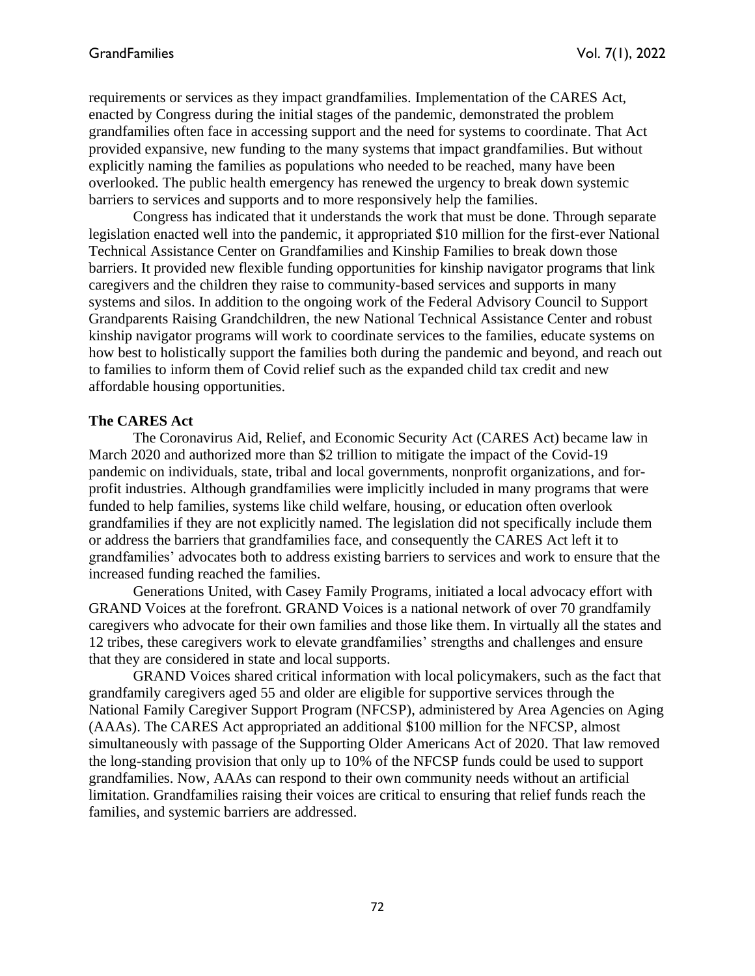requirements or services as they impact grandfamilies. Implementation of the CARES Act, enacted by Congress during the initial stages of the pandemic, demonstrated the problem grandfamilies often face in accessing support and the need for systems to coordinate. That Act provided expansive, new funding to the many systems that impact grandfamilies. But without explicitly naming the families as populations who needed to be reached, many have been overlooked. The public health emergency has renewed the urgency to break down systemic barriers to services and supports and to more responsively help the families.

Congress has indicated that it understands the work that must be done. Through separate legislation enacted well into the pandemic, it appropriated \$10 million for the first-ever National Technical Assistance Center on Grandfamilies and Kinship Families to break down those barriers. It provided new flexible funding opportunities for kinship navigator programs that link caregivers and the children they raise to community-based services and supports in many systems and silos. In addition to the ongoing work of the Federal Advisory Council to Support Grandparents Raising Grandchildren, the new National Technical Assistance Center and robust kinship navigator programs will work to coordinate services to the families, educate systems on how best to holistically support the families both during the pandemic and beyond, and reach out to families to inform them of Covid relief such as the expanded child tax credit and new affordable housing opportunities.

### **The CARES Act**

The Coronavirus Aid, Relief, and Economic Security Act (CARES Act) became law in March 2020 and authorized more than \$2 trillion to mitigate the impact of the Covid-19 pandemic on individuals, state, tribal and local governments, nonprofit organizations, and forprofit industries. Although grandfamilies were implicitly included in many programs that were funded to help families, systems like child welfare, housing, or education often overlook grandfamilies if they are not explicitly named. The legislation did not specifically include them or address the barriers that grandfamilies face, and consequently the CARES Act left it to grandfamilies' advocates both to address existing barriers to services and work to ensure that the increased funding reached the families.

Generations United, with Casey Family Programs, initiated a local advocacy effort with GRAND Voices at the forefront. GRAND Voices is a national network of over 70 grandfamily caregivers who advocate for their own families and those like them. In virtually all the states and 12 tribes, these caregivers work to elevate grandfamilies' strengths and challenges and ensure that they are considered in state and local supports.

GRAND Voices shared critical information with local policymakers, such as the fact that grandfamily caregivers aged 55 and older are eligible for supportive services through the National Family Caregiver Support Program (NFCSP), administered by Area Agencies on Aging (AAAs). The CARES Act appropriated an additional \$100 million for the NFCSP, almost simultaneously with passage of the Supporting Older Americans Act of 2020. That law removed the long-standing provision that only up to 10% of the NFCSP funds could be used to support grandfamilies. Now, AAAs can respond to their own community needs without an artificial limitation. Grandfamilies raising their voices are critical to ensuring that relief funds reach the families, and systemic barriers are addressed.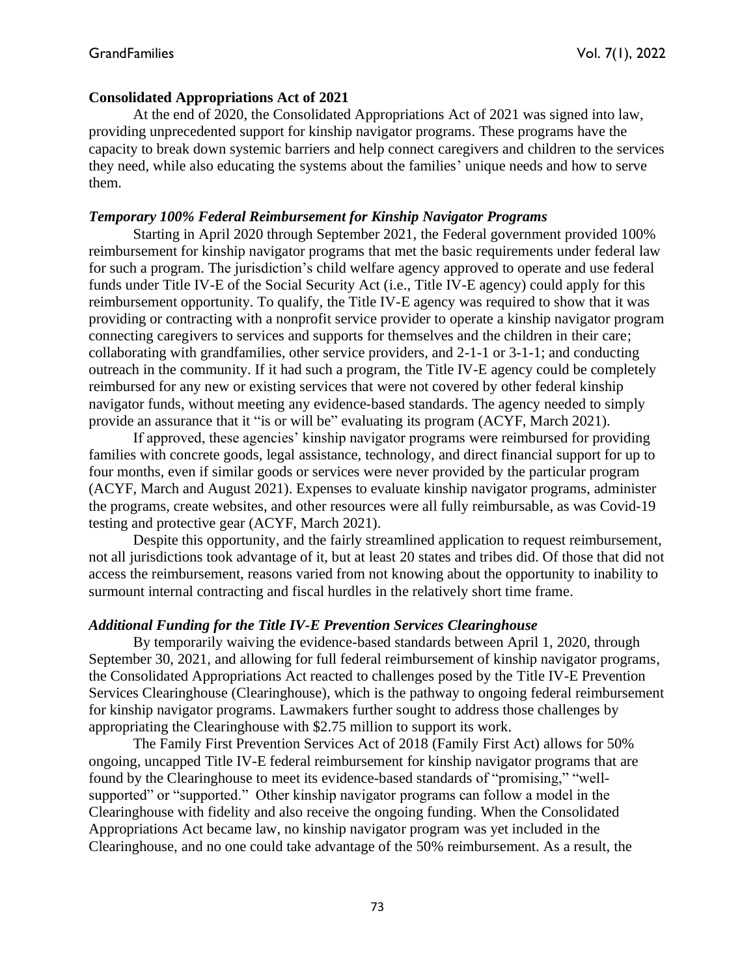# **Consolidated Appropriations Act of 2021**

At the end of 2020, the Consolidated Appropriations Act of 2021 was signed into law, providing unprecedented support for kinship navigator programs. These programs have the capacity to break down systemic barriers and help connect caregivers and children to the services they need, while also educating the systems about the families' unique needs and how to serve them.

# *Temporary 100% Federal Reimbursement for Kinship Navigator Programs*

Starting in April 2020 through September 2021, the Federal government provided 100% reimbursement for kinship navigator programs that met the basic requirements under federal law for such a program. The jurisdiction's child welfare agency approved to operate and use federal funds under Title IV-E of the Social Security Act (i.e., Title IV-E agency) could apply for this reimbursement opportunity. To qualify, the Title IV-E agency was required to show that it was providing or contracting with a nonprofit service provider to operate a kinship navigator program connecting caregivers to services and supports for themselves and the children in their care; collaborating with grandfamilies, other service providers, and 2-1-1 or 3-1-1; and conducting outreach in the community. If it had such a program, the Title IV-E agency could be completely reimbursed for any new or existing services that were not covered by other federal kinship navigator funds, without meeting any evidence-based standards. The agency needed to simply provide an assurance that it "is or will be" evaluating its program (ACYF, March 2021).

If approved, these agencies' kinship navigator programs were reimbursed for providing families with concrete goods, legal assistance, technology, and direct financial support for up to four months, even if similar goods or services were never provided by the particular program (ACYF, March and August 2021). Expenses to evaluate kinship navigator programs, administer the programs, create websites, and other resources were all fully reimbursable, as was Covid-19 testing and protective gear (ACYF, March 2021).

Despite this opportunity, and the fairly streamlined application to request reimbursement, not all jurisdictions took advantage of it, but at least 20 states and tribes did. Of those that did not access the reimbursement, reasons varied from not knowing about the opportunity to inability to surmount internal contracting and fiscal hurdles in the relatively short time frame.

#### *Additional Funding for the Title IV-E Prevention Services Clearinghouse*

By temporarily waiving the evidence-based standards between April 1, 2020, through September 30, 2021, and allowing for full federal reimbursement of kinship navigator programs, the Consolidated Appropriations Act reacted to challenges posed by the Title IV-E Prevention Services Clearinghouse (Clearinghouse), which is the pathway to ongoing federal reimbursement for kinship navigator programs. Lawmakers further sought to address those challenges by appropriating the Clearinghouse with \$2.75 million to support its work.

The Family First Prevention Services Act of 2018 (Family First Act) allows for 50% ongoing, uncapped Title IV-E federal reimbursement for kinship navigator programs that are found by the Clearinghouse to meet its evidence-based standards of "promising," "wellsupported" or "supported." Other kinship navigator programs can follow a model in the Clearinghouse with fidelity and also receive the ongoing funding. When the Consolidated Appropriations Act became law, no kinship navigator program was yet included in the Clearinghouse, and no one could take advantage of the 50% reimbursement. As a result, the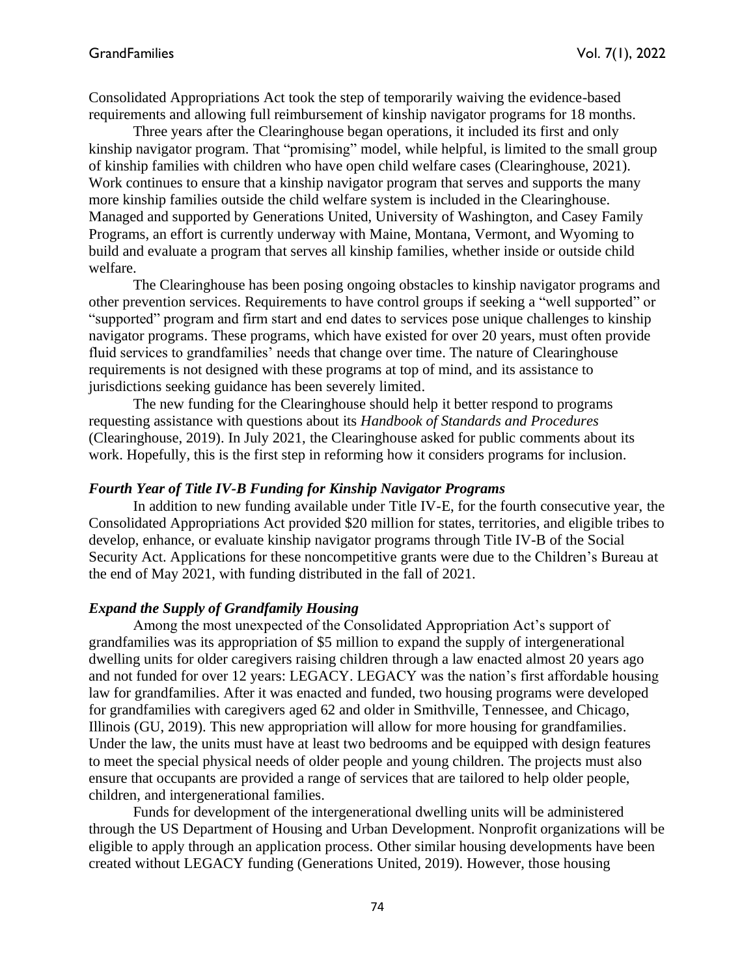Consolidated Appropriations Act took the step of temporarily waiving the evidence-based requirements and allowing full reimbursement of kinship navigator programs for 18 months.

Three years after the Clearinghouse began operations, it included its first and only kinship navigator program. That "promising" model, while helpful, is limited to the small group of kinship families with children who have open child welfare cases (Clearinghouse, 2021). Work continues to ensure that a kinship navigator program that serves and supports the many more kinship families outside the child welfare system is included in the Clearinghouse. Managed and supported by Generations United, University of Washington, and Casey Family Programs, an effort is currently underway with Maine, Montana, Vermont, and Wyoming to build and evaluate a program that serves all kinship families, whether inside or outside child welfare.

The Clearinghouse has been posing ongoing obstacles to kinship navigator programs and other prevention services. Requirements to have control groups if seeking a "well supported" or "supported" program and firm start and end dates to services pose unique challenges to kinship navigator programs. These programs, which have existed for over 20 years, must often provide fluid services to grandfamilies' needs that change over time. The nature of Clearinghouse requirements is not designed with these programs at top of mind, and its assistance to jurisdictions seeking guidance has been severely limited.

The new funding for the Clearinghouse should help it better respond to programs requesting assistance with questions about its *Handbook of Standards and Procedures* (Clearinghouse, 2019). In July 2021, the Clearinghouse asked for public comments about its work. Hopefully, this is the first step in reforming how it considers programs for inclusion.

#### *Fourth Year of Title IV-B Funding for Kinship Navigator Programs*

In addition to new funding available under Title IV-E, for the fourth consecutive year, the Consolidated Appropriations Act provided \$20 million for states, territories, and eligible tribes to develop, enhance, or evaluate kinship navigator programs through Title IV-B of the Social Security Act. Applications for these noncompetitive grants were due to the Children's Bureau at the end of May 2021, with funding distributed in the fall of 2021.

#### *Expand the Supply of Grandfamily Housing*

Among the most unexpected of the Consolidated Appropriation Act's support of grandfamilies was its appropriation of \$5 million to expand the supply of intergenerational dwelling units for older caregivers raising children through a law enacted almost 20 years ago and not funded for over 12 years: LEGACY. LEGACY was the nation's first affordable housing law for grandfamilies. After it was enacted and funded, two housing programs were developed for grandfamilies with caregivers aged 62 and older in Smithville, Tennessee, and Chicago, Illinois (GU, 2019). This new appropriation will allow for more housing for grandfamilies. Under the law, the units must have at least two bedrooms and be equipped with design features to meet the special physical needs of older people and young children. The projects must also ensure that occupants are provided a range of services that are tailored to help older people, children, and intergenerational families.

Funds for development of the intergenerational dwelling units will be administered through the US Department of Housing and Urban Development. Nonprofit organizations will be eligible to apply through an application process. Other similar housing developments have been created without LEGACY funding (Generations United, 2019). However, those housing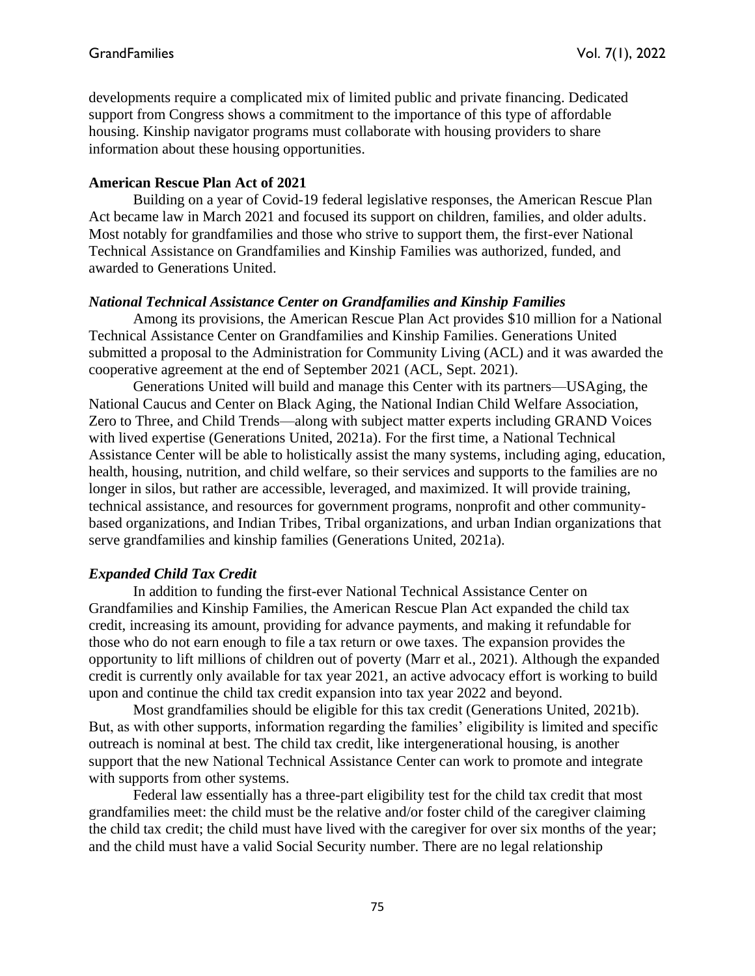developments require a complicated mix of limited public and private financing. Dedicated support from Congress shows a commitment to the importance of this type of affordable housing. Kinship navigator programs must collaborate with housing providers to share information about these housing opportunities.

### **American Rescue Plan Act of 2021**

Building on a year of Covid-19 federal legislative responses, the American Rescue Plan Act became law in March 2021 and focused its support on children, families, and older adults. Most notably for grandfamilies and those who strive to support them, the first-ever National Technical Assistance on Grandfamilies and Kinship Families was authorized, funded, and awarded to Generations United.

# *National Technical Assistance Center on Grandfamilies and Kinship Families*

Among its provisions, the American Rescue Plan Act provides \$10 million for a National Technical Assistance Center on Grandfamilies and Kinship Families. Generations United submitted a proposal to the Administration for Community Living (ACL) and it was awarded the cooperative agreement at the end of September 2021 (ACL, Sept. 2021).

Generations United will build and manage this Center with its partners—USAging, the National Caucus and Center on Black Aging, the National Indian Child Welfare Association, Zero to Three, and Child Trends—along with subject matter experts including GRAND Voices with lived expertise (Generations United, 2021a). For the first time, a National Technical Assistance Center will be able to holistically assist the many systems, including aging, education, health, housing, nutrition, and child welfare, so their services and supports to the families are no longer in silos, but rather are accessible, leveraged, and maximized. It will provide training, technical assistance, and resources for government programs, nonprofit and other communitybased organizations, and Indian Tribes, Tribal organizations, and urban Indian organizations that serve grandfamilies and kinship families (Generations United, 2021a).

# *Expanded Child Tax Credit*

In addition to funding the first-ever National Technical Assistance Center on Grandfamilies and Kinship Families, the American Rescue Plan Act expanded the child tax credit, increasing its amount, providing for advance payments, and making it refundable for those who do not earn enough to file a tax return or owe taxes. The expansion provides the opportunity to lift millions of children out of poverty (Marr et al., 2021). Although the expanded credit is currently only available for tax year 2021, an active advocacy effort is working to build upon and continue the child tax credit expansion into tax year 2022 and beyond.

Most grandfamilies should be eligible for this tax credit (Generations United, 2021b). But, as with other supports, information regarding the families' eligibility is limited and specific outreach is nominal at best. The child tax credit, like intergenerational housing, is another support that the new National Technical Assistance Center can work to promote and integrate with supports from other systems.

Federal law essentially has a three-part eligibility test for the child tax credit that most grandfamilies meet: the child must be the relative and/or foster child of the caregiver claiming the child tax credit; the child must have lived with the caregiver for over six months of the year; and the child must have a valid Social Security number. There are no legal relationship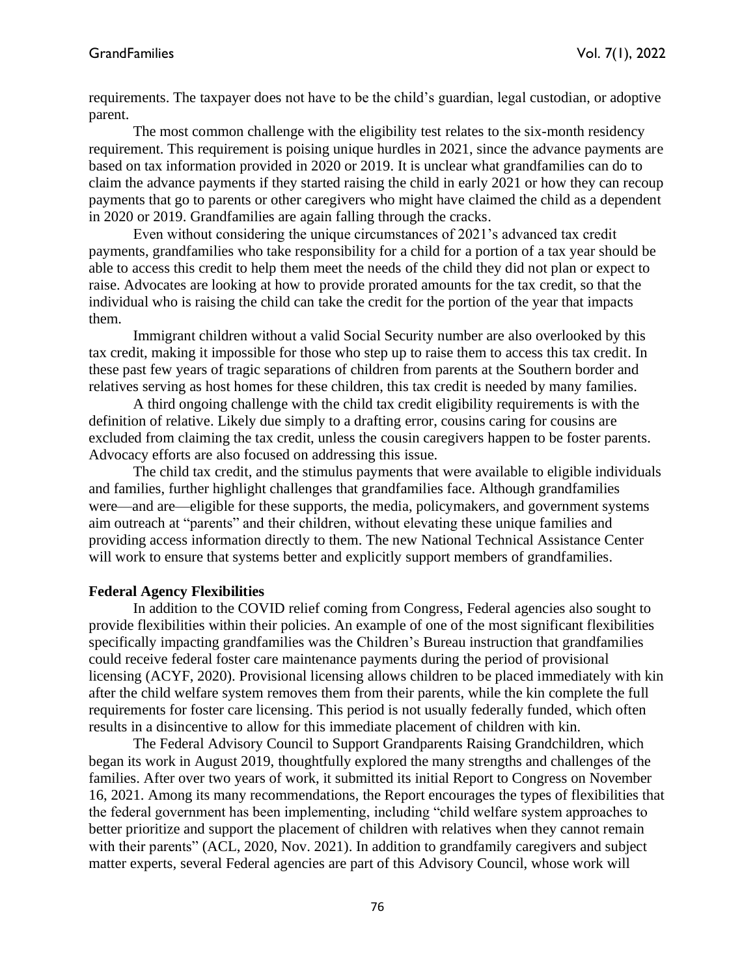requirements. The taxpayer does not have to be the child's guardian, legal custodian, or adoptive parent.

The most common challenge with the eligibility test relates to the six-month residency requirement. This requirement is poising unique hurdles in 2021, since the advance payments are based on tax information provided in 2020 or 2019. It is unclear what grandfamilies can do to claim the advance payments if they started raising the child in early 2021 or how they can recoup payments that go to parents or other caregivers who might have claimed the child as a dependent in 2020 or 2019. Grandfamilies are again falling through the cracks.

Even without considering the unique circumstances of 2021's advanced tax credit payments, grandfamilies who take responsibility for a child for a portion of a tax year should be able to access this credit to help them meet the needs of the child they did not plan or expect to raise. Advocates are looking at how to provide prorated amounts for the tax credit, so that the individual who is raising the child can take the credit for the portion of the year that impacts them.

Immigrant children without a valid Social Security number are also overlooked by this tax credit, making it impossible for those who step up to raise them to access this tax credit. In these past few years of tragic separations of children from parents at the Southern border and relatives serving as host homes for these children, this tax credit is needed by many families.

A third ongoing challenge with the child tax credit eligibility requirements is with the definition of relative. Likely due simply to a drafting error, cousins caring for cousins are excluded from claiming the tax credit, unless the cousin caregivers happen to be foster parents. Advocacy efforts are also focused on addressing this issue.

The child tax credit, and the stimulus payments that were available to eligible individuals and families, further highlight challenges that grandfamilies face. Although grandfamilies were—and are—eligible for these supports, the media, policymakers, and government systems aim outreach at "parents" and their children, without elevating these unique families and providing access information directly to them. The new National Technical Assistance Center will work to ensure that systems better and explicitly support members of grandfamilies.

# **Federal Agency Flexibilities**

 In addition to the COVID relief coming from Congress, Federal agencies also sought to provide flexibilities within their policies. An example of one of the most significant flexibilities specifically impacting grandfamilies was the Children's Bureau instruction that grandfamilies could receive federal foster care maintenance payments during the period of provisional licensing (ACYF, 2020). Provisional licensing allows children to be placed immediately with kin after the child welfare system removes them from their parents, while the kin complete the full requirements for foster care licensing. This period is not usually federally funded, which often results in a disincentive to allow for this immediate placement of children with kin.

The Federal Advisory Council to Support Grandparents Raising Grandchildren, which began its work in August 2019, thoughtfully explored the many strengths and challenges of the families. After over two years of work, it submitted its initial Report to Congress on November 16, 2021. Among its many recommendations, the Report encourages the types of flexibilities that the federal government has been implementing, including "child welfare system approaches to better prioritize and support the placement of children with relatives when they cannot remain with their parents" (ACL, 2020, Nov. 2021). In addition to grandfamily caregivers and subject matter experts, several Federal agencies are part of this Advisory Council, whose work will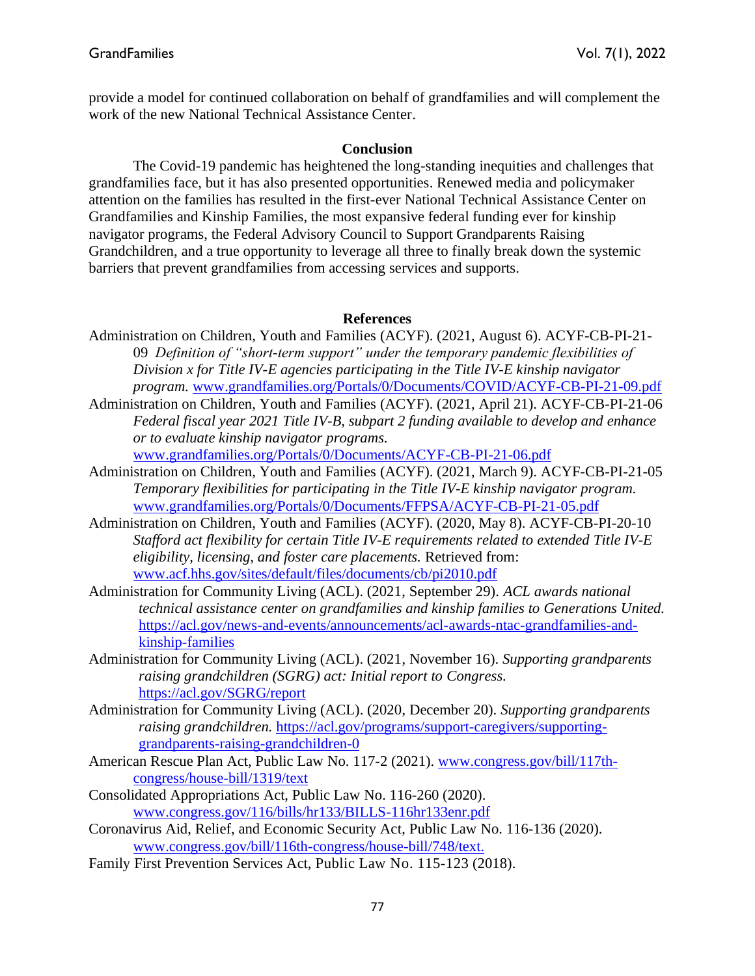provide a model for continued collaboration on behalf of grandfamilies and will complement the work of the new National Technical Assistance Center.

#### **Conclusion**

The Covid-19 pandemic has heightened the long-standing inequities and challenges that grandfamilies face, but it has also presented opportunities. Renewed media and policymaker attention on the families has resulted in the first-ever National Technical Assistance Center on Grandfamilies and Kinship Families, the most expansive federal funding ever for kinship navigator programs, the Federal Advisory Council to Support Grandparents Raising Grandchildren, and a true opportunity to leverage all three to finally break down the systemic barriers that prevent grandfamilies from accessing services and supports.

#### **References**

- Administration on Children, Youth and Families (ACYF). (2021, August 6). ACYF-CB-PI-21- 09 *Definition of "short-term support" under the temporary pandemic flexibilities of Division x for Title IV-E agencies participating in the Title IV-E kinship navigator program.* [www.grandfamilies.org/Portals/0/Documents/COVID/ACYF-CB-PI-21-09.pdf](http://www.grandfamilies.org/Portals/0/Documents/COVID/ACYF-CB-PI-21-09.pdf)
- Administration on Children, Youth and Families (ACYF). (2021, April 21). ACYF-CB-PI-21-06 *Federal fiscal year 2021 Title IV-B, subpart 2 funding available to develop and enhance or to evaluate kinship navigator programs.*

[www.grandfamilies.org/Portals/0/Documents/ACYF-CB-PI-21-06.pdf](http://www.grandfamilies.org/Portals/0/Documents/ACYF-CB-PI-21-06.pdf)

- Administration on Children, Youth and Families (ACYF). (2021, March 9). ACYF-CB-PI-21-05 *Temporary flexibilities for participating in the Title IV-E kinship navigator program.*  [www.grandfamilies.org/Portals/0/Documents/FFPSA/ACYF-CB-PI-21-05.pdf](http://www.grandfamilies.org/Portals/0/Documents/FFPSA/ACYF-CB-PI-21-05.pdf)
- Administration on Children, Youth and Families (ACYF). (2020, May 8). ACYF-CB-PI-20-10 *Stafford act flexibility for certain Title IV-E requirements related to extended Title IV-E eligibility, licensing, and foster care placements.* Retrieved from: [www.acf.hhs.gov/sites/default/files/documents/cb/pi2010.pdf](http://www.acf.hhs.gov/sites/default/files/documents/cb/pi2010.pdf)
- Administration for Community Living (ACL). (2021, September 29). *ACL awards national technical assistance center on grandfamilies and kinship families to Generations United.*  [https://acl.gov/news-and-events/announcements/acl-awards-ntac-grandfamilies-and](https://acl.gov/news-and-events/announcements/acl-awards-ntac-grandfamilies-and-kinship-families)[kinship-families](https://acl.gov/news-and-events/announcements/acl-awards-ntac-grandfamilies-and-kinship-families)
- Administration for Community Living (ACL). (2021, November 16). *Supporting grandparents raising grandchildren (SGRG) act: Initial report to Congress.*  <https://acl.gov/SGRG/report>
- Administration for Community Living (ACL). (2020, December 20). *Supporting grandparents raising grandchildren.* [https://acl.gov/programs/support-caregivers/supporting](https://acl.gov/programs/support-caregivers/supporting-grandparents-raising-grandchildren-0)[grandparents-raising-grandchildren-0](https://acl.gov/programs/support-caregivers/supporting-grandparents-raising-grandchildren-0)
- American Rescue Plan Act, Public Law No. 117-2 (2021). [www.congress.gov/bill/117th](http://www.congress.gov/bill/117th-congress/house-bill/1319/text)[congress/house-bill/1319/text](http://www.congress.gov/bill/117th-congress/house-bill/1319/text)
- Consolidated Appropriations Act, Public Law No. 116-260 (2020). [www.congress.gov/116/bills/hr133/BILLS-116hr133enr.pdf](http://www.congress.gov/116/bills/hr133/BILLS-116hr133enr.pdf)
- Coronavirus Aid, Relief, and Economic Security Act, Public Law No. 116-136 (2020). [www.congress.gov/bill/116th-congress/house-bill/748/text.](http://www.congress.gov/bill/116th-congress/house-bill/748/text)
- Family First Prevention Services Act, Public Law No. 115-123 (2018).